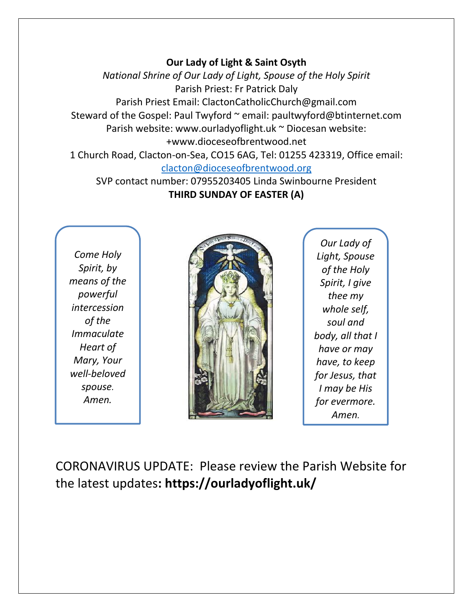### **Our Lady of Light & Saint Osyth**

*National Shrine of Our Lady of Light, Spouse of the Holy Spirit* Parish Priest: Fr Patrick Daly Parish Priest Email: ClactonCatholicChurch@gmail.com Steward of the Gospel: Paul Twyford ~ email: paultwyford@btinternet.com Parish website: www.ourladyoflight.uk ~ Diocesan website: +www.dioceseofbrentwood.net 1 Church Road, Clacton-on-Sea, CO15 6AG, Tel: 01255 423319, Office email:

#### [clacton@dioceseofbrentwood.org](mailto:clacton@dioceseofbrentwood.org)

SVP contact number: 07955203405 Linda Swinbourne President **THIRD SUNDAY OF EASTER (A)**

*Come Holy Spirit, by means of the powerful intercession of the Immaculate Heart of Mary, Your well-beloved spouse. Amen.*



*Our Lady of Light, Spouse of the Holy Spirit, I give thee my whole self, soul and body, all that I have or may have, to keep for Jesus, that I may be His for evermore. Amen.*

CORONAVIRUS UPDATE: Please review the Parish Website for the latest updates**: https://ourladyoflight.uk/**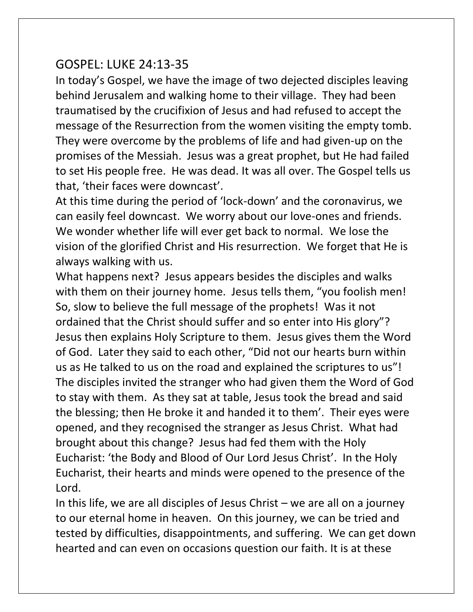## GOSPEL: LUKE 24:13-35

In today's Gospel, we have the image of two dejected disciples leaving behind Jerusalem and walking home to their village. They had been traumatised by the crucifixion of Jesus and had refused to accept the message of the Resurrection from the women visiting the empty tomb. They were overcome by the problems of life and had given-up on the promises of the Messiah. Jesus was a great prophet, but He had failed to set His people free. He was dead. It was all over. The Gospel tells us that, 'their faces were downcast'.

At this time during the period of 'lock-down' and the coronavirus, we can easily feel downcast. We worry about our love-ones and friends. We wonder whether life will ever get back to normal. We lose the vision of the glorified Christ and His resurrection. We forget that He is always walking with us.

What happens next? Jesus appears besides the disciples and walks with them on their journey home. Jesus tells them, "you foolish men! So, slow to believe the full message of the prophets! Was it not ordained that the Christ should suffer and so enter into His glory"? Jesus then explains Holy Scripture to them. Jesus gives them the Word of God. Later they said to each other, "Did not our hearts burn within us as He talked to us on the road and explained the scriptures to us"! The disciples invited the stranger who had given them the Word of God to stay with them. As they sat at table, Jesus took the bread and said the blessing; then He broke it and handed it to them'. Their eyes were opened, and they recognised the stranger as Jesus Christ. What had brought about this change? Jesus had fed them with the Holy Eucharist: 'the Body and Blood of Our Lord Jesus Christ'. In the Holy Eucharist, their hearts and minds were opened to the presence of the Lord.

In this life, we are all disciples of Jesus Christ – we are all on a journey to our eternal home in heaven. On this journey, we can be tried and tested by difficulties, disappointments, and suffering. We can get down hearted and can even on occasions question our faith. It is at these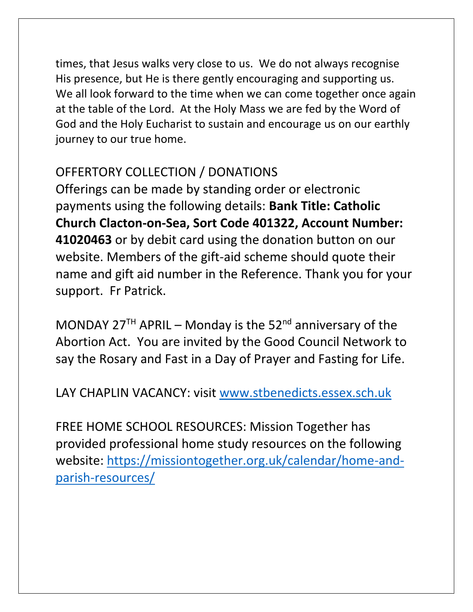times, that Jesus walks very close to us. We do not always recognise His presence, but He is there gently encouraging and supporting us. We all look forward to the time when we can come together once again at the table of the Lord. At the Holy Mass we are fed by the Word of God and the Holy Eucharist to sustain and encourage us on our earthly journey to our true home.

# OFFERTORY COLLECTION / DONATIONS

Offerings can be made by standing order or electronic payments using the following details: **Bank Title: Catholic Church Clacton-on-Sea, Sort Code 401322, Account Number: 41020463** or by debit card using the donation button on our website. Members of the gift-aid scheme should quote their name and gift aid number in the Reference. Thank you for your support. Fr Patrick.

MONDAY 27<sup>TH</sup> APRIL – Monday is the 52<sup>nd</sup> anniversary of the Abortion Act. You are invited by the Good Council Network to say the Rosary and Fast in a Day of Prayer and Fasting for Life.

LAY CHAPLIN VACANCY: visit [www.stbenedicts.essex.sch.uk](http://www.stbenedicts.essex.sch.uk/)

FREE HOME SCHOOL RESOURCES: Mission Together has provided professional home study resources on the following website: [https://missiontogether.org.uk/calendar/home-and](https://missiontogether.org.uk/calendar/home-and-parish-resources/)[parish-resources/](https://missiontogether.org.uk/calendar/home-and-parish-resources/)